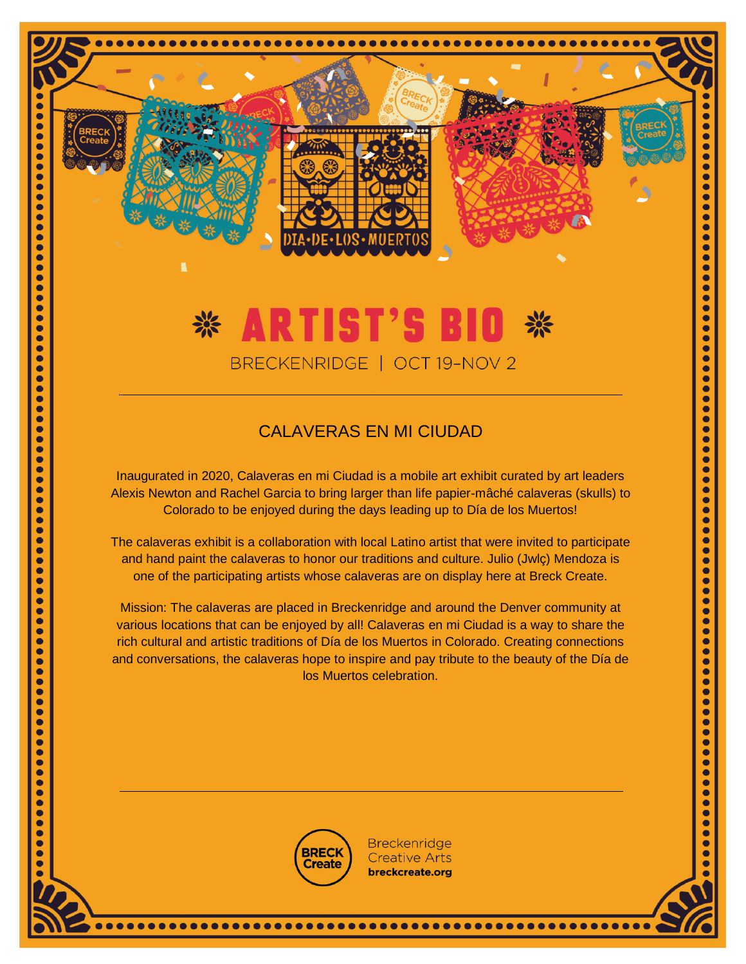# \* ARTIST'S BIO BRECKENRIDGE | OCT 19-NOV 2

 $\bullet$ 

 $\bullet$  $\bullet$ 

 $\bullet$ 

 $\bullet$ 

 $\bullet$ 

 $\bullet$ 

 $\bullet$ 

 $\bullet$ 

 $\bullet$ 

 $\bullet$ 

 $\ddot{\phantom{a}}$ 

 $\bullet$ 

 $\bullet$ 

 $\bullet$ 

 $\bullet$ 

 $\bullet$ 

 $\bullet$ 

 $\bullet$ 

 $\bullet$ 

 $\bullet$ 

Ċ

 $\bullet$ 

 $\bullet$ 

 $\bullet$ 

 $\bullet$  $\bullet$ 

 $\bullet$ 

 $\bullet$ 

 $\bullet$ 

 $\bullet$ 

 $\bullet$ 

 $\bullet$ 

 $\bullet$ 

 $\bullet$ 

 $\bullet$ 

 $\bullet$ 

 $\bullet$ 

 $\bullet$ 

 $\bullet$  $\bullet$ 

 $\bullet$ 

 $\bullet$ 

 $\bullet$ 

 $\bullet$ 

 $\bullet$ 

 $\bullet$ 

 $\bullet$ 

 $\bullet$ 

 $\bullet$ 

 $\bullet$ 

 $\bullet$ 

 $\bullet$ 

 $\bullet$ 

 $\bullet$ 

 $\bullet$ 

 $\bullet$ 

 $\bullet$ 

 $\bullet$ 

 $\bullet$ 

 $\bullet$ 

 $\bullet$ 

 $\bullet$ 

 $\bullet$ 

 $\bullet$ 

 $\bullet$ 

 $\bullet$ 

 $\bullet$ 

 $\bullet$ 

 $\bullet$ 

 $\bullet$ ō  $\bullet$ 

 $\bullet$ 

 $\bullet$ 

 $\bullet$ 

 $\bullet$ 

 $\bullet$ 

 $\bullet$ 

 $\bullet$ 

 $\bullet$ 

 $\bullet$ 

 $\bullet$ 

 $\ddot{\bullet}$ 

 $\bullet$ 

 $\bullet$ 

 $\bullet$ 

 $\bullet$ 

 $\bullet$ 

 $\bullet$ 

 $\bullet$ 

 $\bullet$ 

 $\bullet$ 

 $\bullet$ 

 $\bullet$ 

 $\bullet$ 

 $\bullet$  $\bullet$ 

 $\bullet$ 

 $\bullet$ 

 $\bullet$ 

 $\bullet$ 

 $\bullet$ 

 $\bullet$ 

 $\bullet$ 

 $\bullet$ 

 $\bullet$ 

 $\bullet$ 

 $\bullet$ 

 $\bullet$ 

 $\bullet$  $\bullet$ 

 $\bullet$ 

 $\bullet$ 

 $\bullet$ 

 $\bullet$ 

 $\bullet$ 

 $\bullet$ 

 $\bullet$ 

 $\bullet$ 

 $\bullet$ 

 $\bullet$ 

 $\bullet$ 

 $\bullet$ 

 $\bullet$ 

 $\bullet$ 

 $\ddot{\bullet}$ 

 $\bullet$ 

 $\bullet$ 

 $\bullet$ 

 $\bullet$ 

 $\bullet$ 

 $\bullet$ 

 $\bullet$ 

 $\bullet$ 

 $\bullet$ 

 $\bullet$ 

 $\bullet$ 

 $\bullet$ 

 $\bullet$ 

### CALAVERAS EN MI CIUDAD

Inaugurated in 2020, Calaveras en mi Ciudad is a mobile art exhibit curated by art leaders Alexis Newton and Rachel Garcia to bring larger than life papier-mâché calaveras (skulls) to Colorado to be enjoyed during the days leading up to Día de los Muertos!

The calaveras exhibit is a collaboration with local Latino artist that were invited to participate and hand paint the calaveras to honor our traditions and culture. Julio (Jwlç) Mendoza is one of the participating artists whose calaveras are on display here at Breck Create.

Mission: The calaveras are placed in Breckenridge and around the Denver community at various locations that can be enjoyed by all! Calaveras en mi Ciudad is a way to share the rich cultural and artistic traditions of Día de los Muertos in Colorado. Creating connections and conversations, the calaveras hope to inspire and pay tribute to the beauty of the Día de los Muertos celebration.



**Breckenridge Creative Arts** breckcreate.org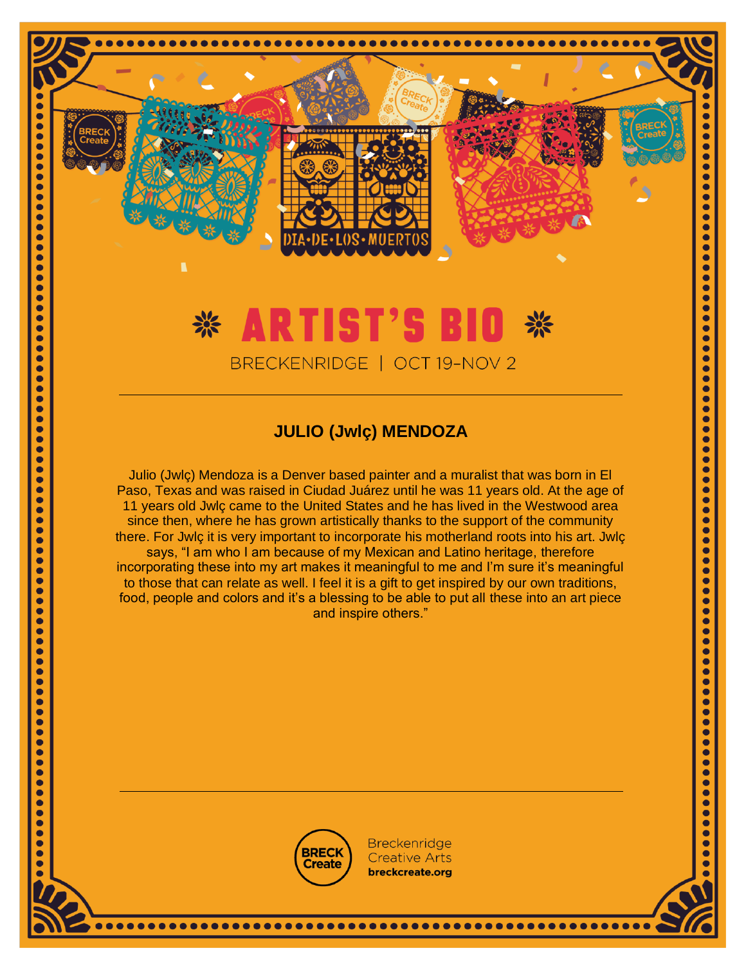### \* ARTIST'S BI BRECKENRIDGE | OCT 19-NOV 2

 $\bullet$  $\bullet$  $\bullet$ 

 $\bullet$ 

 $\ddot{\bullet}$ 

 $\bullet$ 

 $\bullet$ 

 $\bullet$ 

 $\bullet$ 

 $\bullet$ 

 $\bullet$ 

 $\bullet$ 

 $\bullet$ 

 $\bullet$ 

 $\ddot{\bullet}$ 

 $\bullet$ 

 $\bullet$ 

 $\bullet$ 

 $\bullet$ 

 $\bullet$ 

 $\bullet$ 

 $\bullet$ 

 $\ddot{\bullet}$ 

 $\bullet$ 

 $\bullet$ 

 $\bullet$ 

 $\bullet$ 

 $\bullet$ 

 $\bullet$ 

 $\bullet$ 

 $\bullet$ 

 $\ddot{\bullet}$ 

 $\bullet$ 

 $\bullet$ 

 $\bullet$ 

 $\bullet$  $\ddot{\bullet}$ 

 $\bullet$ 

 $\ddot{\bullet}$ 

 $\bullet$ 

 $\bullet$ 

 $\bullet$ 

 $\bullet$ 

 $\bullet$ 

 $\bullet$ 

 $\bullet$  $\bullet$ 

 $\bullet$ 

 $\bullet$ 

 $\bullet$  $\ddot{\bullet}$ 

 $\ddot{\bullet}$ 

 $\bullet$ 

 $\bullet$ 

 $\bullet$ 

 $\bullet$ 

 $\ddot{\bullet}$ 

 $\bullet$ 

 $\bullet$ 

 $\bullet$ 

 $\bullet$ 

 $\bullet$ 

 $\ddot{\bullet}$ 

 $\bullet$ 

 $\bullet$ 

 $\bullet$ 

 $\bullet$ 

 $\bullet$ 

 $\bullet$ 

 $\bullet$ 

 $\bullet$ 

O

 $\bullet$ 

 $\bullet$ 

 $\bullet$ 

 $\bullet$  $\bullet$ 

 $\bullet$ 

 $\bullet$ 

 $\bullet$ 

 $\bullet$ 

 $\bullet$ 

 $\bullet$ 

 $\bullet$ 

 $\bullet$ 

 $\bullet$ 

 $\bullet$ 

 $\ddot{\bullet}$ 

 $\ddot{\bullet}$ 

 $\bullet$ 

 $\bullet$ 

 $\bullet$ 

 $\bullet$ 

 $\ddot{\bullet}$ 

 $\bullet$ 

 $\ddot{\bullet}$ 

 $\bullet$ 

 $\bullet$ 

 $\bullet$ 

 $\bullet$ 

 $\bullet$ 

 $\bullet$ 

 $\bullet$ 

 $\bullet$ 

 $\bullet$ 

 $\bullet$ 

 $\bullet$ 

 $\bullet$  $\bullet$ 

 $\ddot{\bullet}$ 

 $\bullet$ 

 $\bullet$ 

 $\bullet$ 

 $\bullet$ 

 $\bullet$ 

 $\bullet$ 

 $\bullet$ 

 $\bullet$  $\bullet$ 

 $\bullet$ 

 $\bullet$ 

 $\bullet$ 

 $\bullet$  $\ddot{\bullet}$  $\bullet$ 

 $\bullet$ 

 $\bullet$ 

 $\bullet$ 

 $\bullet$ 

 $\bullet$ 

 $\bullet$ 

 $\bullet$ 

 $\bullet$ 

 $\bullet$ 

 $\ddot{\bullet}$ 

 $\bullet$ 

 $\bullet$ 

ŏ

 $\bullet$ 

 $\bullet$ 

 $\bullet$ 

 $\bullet$ 

 $\bullet$ 

 $\bullet$ 

 $\bullet$ 

#### **JULIO (Jwlç) MENDOZA**

Julio (Jwlç) Mendoza is a Denver based painter and a muralist that was born in El Paso, Texas and was raised in Ciudad Juárez until he was 11 years old. At the age of 11 years old Jwlç came to the United States and he has lived in the Westwood area since then, where he has grown artistically thanks to the support of the community there. For Jwlç it is very important to incorporate his motherland roots into his art. Jwlç says, "I am who I am because of my Mexican and Latino heritage, therefore incorporating these into my art makes it meaningful to me and I'm sure it's meaningful to those that can relate as well. I feel it is a gift to get inspired by our own traditions, food, people and colors and it's a blessing to be able to put all these into an art piece and inspire others."



**Breckenridge Creative Arts** breckcreate.org